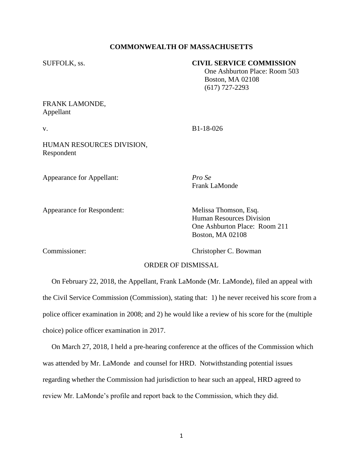#### **COMMONWEALTH OF MASSACHUSETTS**

#### SUFFOLK, ss. **CIVIL SERVICE COMMISSION**

 One Ashburton Place: Room 503 Boston, MA 02108 (617) 727-2293

# FRANK LAMONDE, Appellant

v. B1-18-026

Frank LaMonde

### HUMAN RESOURCES DIVISION, Respondent

Appearance for Appellant: *Pro Se*

Appearance for Respondent: Melissa Thomson, Esq.

Human Resources Division One Ashburton Place: Room 211

Commissioner: Christopher C. Bowman

Boston, MA 02108

# ORDER OF DISMISSAL

 On February 22, 2018, the Appellant, Frank LaMonde (Mr. LaMonde), filed an appeal with the Civil Service Commission (Commission), stating that: 1) he never received his score from a police officer examination in 2008; and 2) he would like a review of his score for the (multiple choice) police officer examination in 2017.

 On March 27, 2018, I held a pre-hearing conference at the offices of the Commission which was attended by Mr. LaMonde and counsel for HRD. Notwithstanding potential issues regarding whether the Commission had jurisdiction to hear such an appeal, HRD agreed to review Mr. LaMonde's profile and report back to the Commission, which they did.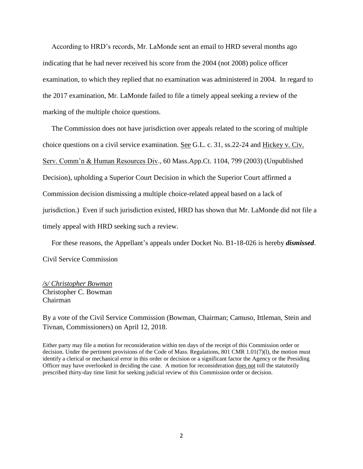According to HRD's records, Mr. LaMonde sent an email to HRD several months ago indicating that he had never received his score from the 2004 (not 2008) police officer examination, to which they replied that no examination was administered in 2004. In regard to the 2017 examination, Mr. LaMonde failed to file a timely appeal seeking a review of the marking of the multiple choice questions.

 The Commission does not have jurisdiction over appeals related to the scoring of multiple choice questions on a civil service examination. See G.L. c. 31, ss.22-24 and Hickey v. Civ. Serv. Comm'n & Human Resources Div., 60 Mass.App.Ct. 1104, 799 (2003) (Unpublished Decision), upholding a Superior Court Decision in which the Superior Court affirmed a Commission decision dismissing a multiple choice-related appeal based on a lack of jurisdiction.) Even if such jurisdiction existed, HRD has shown that Mr. LaMonde did not file a timely appeal with HRD seeking such a review.

 For these reasons, the Appellant's appeals under Docket No. B1-18-026 is hereby *dismissed*. Civil Service Commission

*/s/ Christopher Bowman* Christopher C. Bowman Chairman

By a vote of the Civil Service Commission (Bowman, Chairman; Camuso, Ittleman, Stein and Tivnan, Commissioners) on April 12, 2018.

Either party may file a motion for reconsideration within ten days of the receipt of this Commission order or decision. Under the pertinent provisions of the Code of Mass. Regulations, 801 CMR 1.01(7)(1), the motion must identify a clerical or mechanical error in this order or decision or a significant factor the Agency or the Presiding Officer may have overlooked in deciding the case. A motion for reconsideration does not toll the statutorily prescribed thirty-day time limit for seeking judicial review of this Commission order or decision.